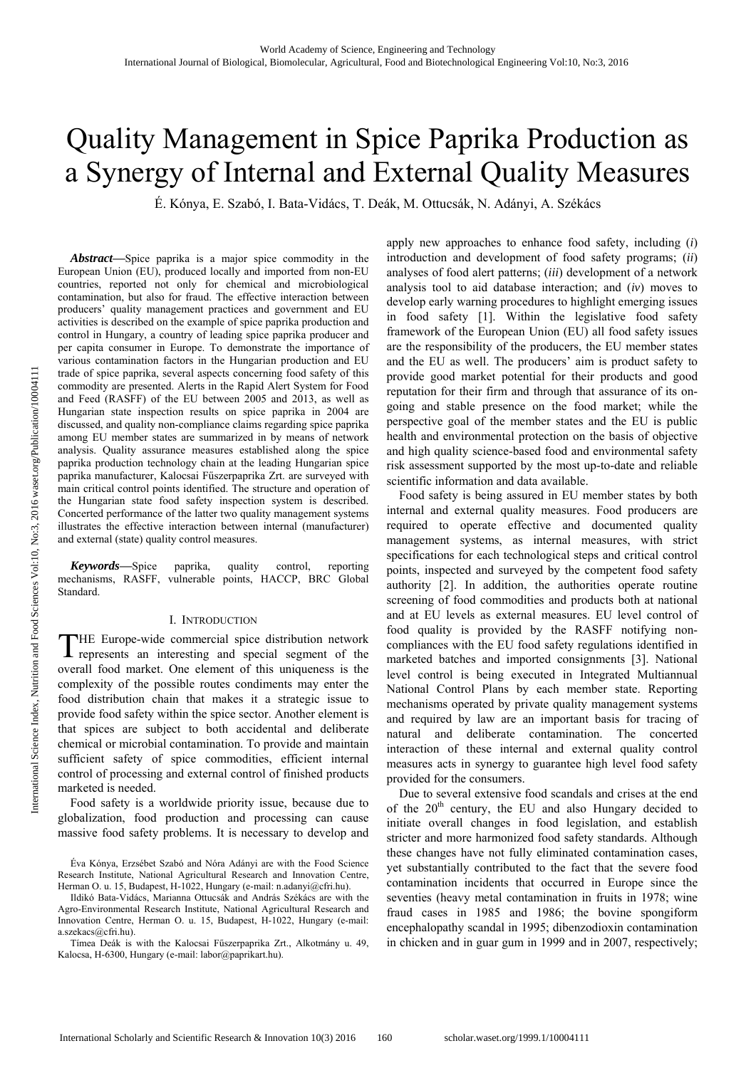# Quality Management in Spice Paprika Production as a Synergy of Internal and External Quality Measures

É. Kónya, E. Szabó, I. Bata-Vidács, T. Deák, M. Ottucsák, N. Adányi, A. Székács

*Abstract***—**Spice paprika is a major spice commodity in the European Union (EU), produced locally and imported from non-EU countries, reported not only for chemical and microbiological contamination, but also for fraud. The effective interaction between producers' quality management practices and government and EU activities is described on the example of spice paprika production and control in Hungary, a country of leading spice paprika producer and per capita consumer in Europe. To demonstrate the importance of various contamination factors in the Hungarian production and EU trade of spice paprika, several aspects concerning food safety of this commodity are presented. Alerts in the Rapid Alert System for Food and Feed (RASFF) of the EU between 2005 and 2013, as well as Hungarian state inspection results on spice paprika in 2004 are discussed, and quality non-compliance claims regarding spice paprika among EU member states are summarized in by means of network analysis. Quality assurance measures established along the spice paprika production technology chain at the leading Hungarian spice paprika manufacturer, Kalocsai Fűszerpaprika Zrt. are surveyed with main critical control points identified. The structure and operation of the Hungarian state food safety inspection system is described. Concerted performance of the latter two quality management systems illustrates the effective interaction between internal (manufacturer) and external (state) quality control measures.

*Keywords***—**Spice paprika, quality control, reporting mechanisms, RASFF, vulnerable points, HACCP, BRC Global Standard.

### I. INTRODUCTION

HE Europe-wide commercial spice distribution network THE Europe-wide commercial spice distribution network represents an interesting and special segment of the overall food market. One element of this uniqueness is the complexity of the possible routes condiments may enter the food distribution chain that makes it a strategic issue to provide food safety within the spice sector. Another element is that spices are subject to both accidental and deliberate chemical or microbial contamination. To provide and maintain sufficient safety of spice commodities, efficient internal control of processing and external control of finished products marketed is needed.

Food safety is a worldwide priority issue, because due to globalization, food production and processing can cause massive food safety problems. It is necessary to develop and

Ildikó Bata-Vidács, Marianna Ottucsák and András Székács are with the Agro-Environmental Research Institute, National Agricultural Research and Innovation Centre, Herman O. u. 15, Budapest, H-1022, Hungary (e-mail: a.szekacs@cfri.hu).

Tímea Deák is with the Kalocsai Fűszerpaprika Zrt., Alkotmány u. 49, Kalocsa, H-6300, Hungary (e-mail: labor@paprikart.hu).

apply new approaches to enhance food safety, including (*i*) introduction and development of food safety programs; (*ii*) analyses of food alert patterns; (*iii*) development of a network analysis tool to aid database interaction; and (*iv*) moves to develop early warning procedures to highlight emerging issues in food safety [1]. Within the legislative food safety framework of the European Union (EU) all food safety issues are the responsibility of the producers, the EU member states and the EU as well. The producers' aim is product safety to provide good market potential for their products and good reputation for their firm and through that assurance of its ongoing and stable presence on the food market; while the perspective goal of the member states and the EU is public health and environmental protection on the basis of objective and high quality science-based food and environmental safety risk assessment supported by the most up-to-date and reliable scientific information and data available.

Food safety is being assured in EU member states by both internal and external quality measures. Food producers are required to operate effective and documented quality management systems, as internal measures, with strict specifications for each technological steps and critical control points, inspected and surveyed by the competent food safety authority [2]. In addition, the authorities operate routine screening of food commodities and products both at national and at EU levels as external measures. EU level control of food quality is provided by the RASFF notifying noncompliances with the EU food safety regulations identified in marketed batches and imported consignments [3]. National level control is being executed in Integrated Multiannual National Control Plans by each member state. Reporting mechanisms operated by private quality management systems and required by law are an important basis for tracing of natural and deliberate contamination. The concerted interaction of these internal and external quality control measures acts in synergy to guarantee high level food safety provided for the consumers.

Due to several extensive food scandals and crises at the end of the  $20<sup>th</sup>$  century, the EU and also Hungary decided to initiate overall changes in food legislation, and establish stricter and more harmonized food safety standards. Although these changes have not fully eliminated contamination cases, yet substantially contributed to the fact that the severe food contamination incidents that occurred in Europe since the seventies (heavy metal contamination in fruits in 1978; wine fraud cases in 1985 and 1986; the bovine spongiform encephalopathy scandal in 1995; dibenzodioxin contamination in chicken and in guar gum in 1999 and in 2007, respectively;

Éva Kónya, Erzsébet Szabó and Nóra Adányi are with the Food Science Research Institute, National Agricultural Research and Innovation Centre, Herman O. u. 15, Budapest, H-1022, Hungary (e-mail: n.adanyi@cfri.hu).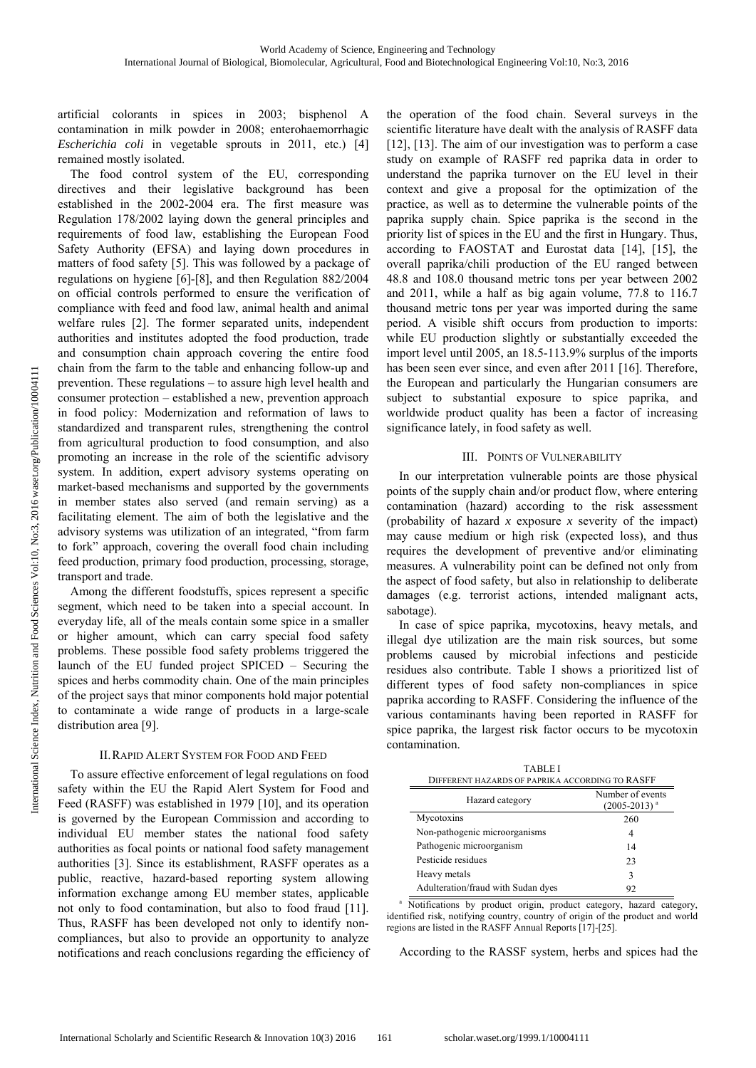artificial colorants in spices in 2003; bisphenol A contamination in milk powder in 2008; enterohaemorrhagic *Escherichia coli* in vegetable sprouts in 2011, etc.) [4] remained mostly isolated.

The food control system of the EU, corresponding directives and their legislative background has been established in the 2002-2004 era. The first measure was Regulation 178/2002 laying down the general principles and requirements of food law, establishing the European Food Safety Authority (EFSA) and laying down procedures in matters of food safety [5]. This was followed by a package of regulations on hygiene [6]-[8], and then Regulation 882/2004 on official controls performed to ensure the verification of compliance with feed and food law, animal health and animal welfare rules [2]. The former separated units, independent authorities and institutes adopted the food production, trade and consumption chain approach covering the entire food chain from the farm to the table and enhancing follow-up and prevention. These regulations – to assure high level health and consumer protection – established a new, prevention approach in food policy: Modernization and reformation of laws to standardized and transparent rules, strengthening the control from agricultural production to food consumption, and also promoting an increase in the role of the scientific advisory system. In addition, expert advisory systems operating on market-based mechanisms and supported by the governments in member states also served (and remain serving) as a facilitating element. The aim of both the legislative and the advisory systems was utilization of an integrated, "from farm to fork" approach, covering the overall food chain including feed production, primary food production, processing, storage, transport and trade.

Among the different foodstuffs, spices represent a specific segment, which need to be taken into a special account. In everyday life, all of the meals contain some spice in a smaller or higher amount, which can carry special food safety problems. These possible food safety problems triggered the launch of the EU funded project SPICED – Securing the spices and herbs commodity chain. One of the main principles of the project says that minor components hold major potential to contaminate a wide range of products in a large-scale distribution area [9].

# II.RAPID ALERT SYSTEM FOR FOOD AND FEED

To assure effective enforcement of legal regulations on food safety within the EU the Rapid Alert System for Food and Feed (RASFF) was established in 1979 [10], and its operation is governed by the European Commission and according to individual EU member states the national food safety authorities as focal points or national food safety management authorities [3]. Since its establishment, RASFF operates as a public, reactive, hazard-based reporting system allowing information exchange among EU member states, applicable not only to food contamination, but also to food fraud [11]. Thus, RASFF has been developed not only to identify noncompliances, but also to provide an opportunity to analyze notifications and reach conclusions regarding the efficiency of the operation of the food chain. Several surveys in the scientific literature have dealt with the analysis of RASFF data [12], [13]. The aim of our investigation was to perform a case study on example of RASFF red paprika data in order to understand the paprika turnover on the EU level in their context and give a proposal for the optimization of the practice, as well as to determine the vulnerable points of the paprika supply chain. Spice paprika is the second in the priority list of spices in the EU and the first in Hungary. Thus, according to FAOSTAT and Eurostat data [14], [15], the overall paprika/chili production of the EU ranged between 48.8 and 108.0 thousand metric tons per year between 2002 and 2011, while a half as big again volume, 77.8 to 116.7 thousand metric tons per year was imported during the same period. A visible shift occurs from production to imports: while EU production slightly or substantially exceeded the import level until 2005, an 18.5-113.9% surplus of the imports has been seen ever since, and even after 2011 [16]. Therefore, the European and particularly the Hungarian consumers are subject to substantial exposure to spice paprika, and worldwide product quality has been a factor of increasing significance lately, in food safety as well.

# III. POINTS OF VULNERABILITY

In our interpretation vulnerable points are those physical points of the supply chain and/or product flow, where entering contamination (hazard) according to the risk assessment (probability of hazard *x* exposure *x* severity of the impact) may cause medium or high risk (expected loss), and thus requires the development of preventive and/or eliminating measures. A vulnerability point can be defined not only from the aspect of food safety, but also in relationship to deliberate damages (e.g. terrorist actions, intended malignant acts, sabotage).

In case of spice paprika, mycotoxins, heavy metals, and illegal dye utilization are the main risk sources, but some problems caused by microbial infections and pesticide residues also contribute. Table I shows a prioritized list of different types of food safety non-compliances in spice paprika according to RASFF. Considering the influence of the various contaminants having been reported in RASFF for spice paprika, the largest risk factor occurs to be mycotoxin contamination.

| TABLE I<br>DIFFERENT HAZARDS OF PAPRIKA ACCORDING TO RASFF |                                         |
|------------------------------------------------------------|-----------------------------------------|
| Hazard category                                            | Number of events<br>$(2005 - 2013)^{a}$ |
| Mycotoxins                                                 | 260                                     |
| Non-pathogenic microorganisms                              | 4                                       |
| Pathogenic microorganism                                   | 14                                      |
| Pesticide residues                                         | 23                                      |
| Heavy metals                                               | 3                                       |
| Adulteration/fraud with Sudan dyes                         | 92                                      |

a Notifications by product origin, product category, hazard category, identified risk, notifying country, country of origin of the product and world regions are listed in the RASFF Annual Reports [17]-[25].

According to the RASSF system, herbs and spices had the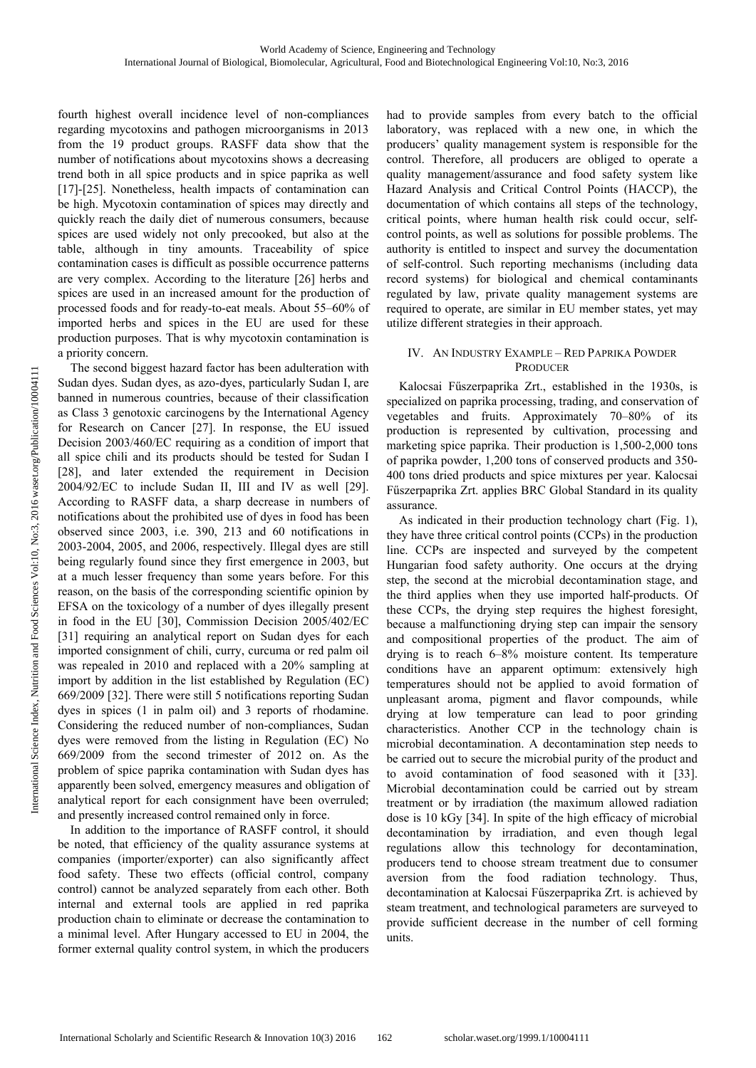fourth highest overall incidence level of non-compliances regarding mycotoxins and pathogen microorganisms in 2013 from the 19 product groups. RASFF data show that the number of notifications about mycotoxins shows a decreasing trend both in all spice products and in spice paprika as well [17]-[25]. Nonetheless, health impacts of contamination can be high. Mycotoxin contamination of spices may directly and quickly reach the daily diet of numerous consumers, because spices are used widely not only precooked, but also at the table, although in tiny amounts. Traceability of spice contamination cases is difficult as possible occurrence patterns are very complex. According to the literature [26] herbs and spices are used in an increased amount for the production of processed foods and for ready-to-eat meals. About 55–60% of imported herbs and spices in the EU are used for these production purposes. That is why mycotoxin contamination is a priority concern.

The second biggest hazard factor has been adulteration with Sudan dyes. Sudan dyes, as azo-dyes, particularly Sudan I, are banned in numerous countries, because of their classification as Class 3 genotoxic carcinogens by the International Agency for Research on Cancer [27]. In response, the EU issued Decision 2003/460/EC requiring as a condition of import that all spice chili and its products should be tested for Sudan I [28], and later extended the requirement in Decision 2004/92/EC to include Sudan II, III and IV as well [29]. According to RASFF data, a sharp decrease in numbers of notifications about the prohibited use of dyes in food has been observed since 2003, i.e. 390, 213 and 60 notifications in 2003-2004, 2005, and 2006, respectively. Illegal dyes are still being regularly found since they first emergence in 2003, but at a much lesser frequency than some years before. For this reason, on the basis of the corresponding scientific opinion by EFSA on the toxicology of a number of dyes illegally present in food in the EU [30], Commission Decision 2005/402/EC [31] requiring an analytical report on Sudan dyes for each imported consignment of chili, curry, curcuma or red palm oil was repealed in 2010 and replaced with a 20% sampling at import by addition in the list established by Regulation (EC) 669/2009 [32]. There were still 5 notifications reporting Sudan dyes in spices (1 in palm oil) and 3 reports of rhodamine. Considering the reduced number of non-compliances, Sudan dyes were removed from the listing in Regulation (EC) No 669/2009 from the second trimester of 2012 on. As the problem of spice paprika contamination with Sudan dyes has apparently been solved, emergency measures and obligation of analytical report for each consignment have been overruled; and presently increased control remained only in force.

In addition to the importance of RASFF control, it should be noted, that efficiency of the quality assurance systems at companies (importer/exporter) can also significantly affect food safety. These two effects (official control, company control) cannot be analyzed separately from each other. Both internal and external tools are applied in red paprika production chain to eliminate or decrease the contamination to a minimal level. After Hungary accessed to EU in 2004, the former external quality control system, in which the producers had to provide samples from every batch to the official laboratory, was replaced with a new one, in which the producers' quality management system is responsible for the control. Therefore, all producers are obliged to operate a quality management/assurance and food safety system like Hazard Analysis and Critical Control Points (HACCP), the documentation of which contains all steps of the technology, critical points, where human health risk could occur, selfcontrol points, as well as solutions for possible problems. The authority is entitled to inspect and survey the documentation of self-control. Such reporting mechanisms (including data record systems) for biological and chemical contaminants regulated by law, private quality management systems are required to operate, are similar in EU member states, yet may utilize different strategies in their approach.

## IV. AN INDUSTRY EXAMPLE – RED PAPRIKA POWDER PRODUCER

Kalocsai Fűszerpaprika Zrt., established in the 1930s, is specialized on paprika processing, trading, and conservation of vegetables and fruits. Approximately 70–80% of its production is represented by cultivation, processing and marketing spice paprika. Their production is 1,500-2,000 tons of paprika powder, 1,200 tons of conserved products and 350- 400 tons dried products and spice mixtures per year. Kalocsai Fűszerpaprika Zrt. applies BRC Global Standard in its quality assurance.

As indicated in their production technology chart (Fig. 1), they have three critical control points (CCPs) in the production line. CCPs are inspected and surveyed by the competent Hungarian food safety authority. One occurs at the drying step, the second at the microbial decontamination stage, and the third applies when they use imported half-products. Of these CCPs, the drying step requires the highest foresight, because a malfunctioning drying step can impair the sensory and compositional properties of the product. The aim of drying is to reach 6–8% moisture content. Its temperature conditions have an apparent optimum: extensively high temperatures should not be applied to avoid formation of unpleasant aroma, pigment and flavor compounds, while drying at low temperature can lead to poor grinding characteristics. Another CCP in the technology chain is microbial decontamination. A decontamination step needs to be carried out to secure the microbial purity of the product and to avoid contamination of food seasoned with it [33]. Microbial decontamination could be carried out by stream treatment or by irradiation (the maximum allowed radiation dose is 10 kGy [34]. In spite of the high efficacy of microbial decontamination by irradiation, and even though legal regulations allow this technology for decontamination, producers tend to choose stream treatment due to consumer aversion from the food radiation technology. Thus, decontamination at Kalocsai Fűszerpaprika Zrt. is achieved by steam treatment, and technological parameters are surveyed to provide sufficient decrease in the number of cell forming units.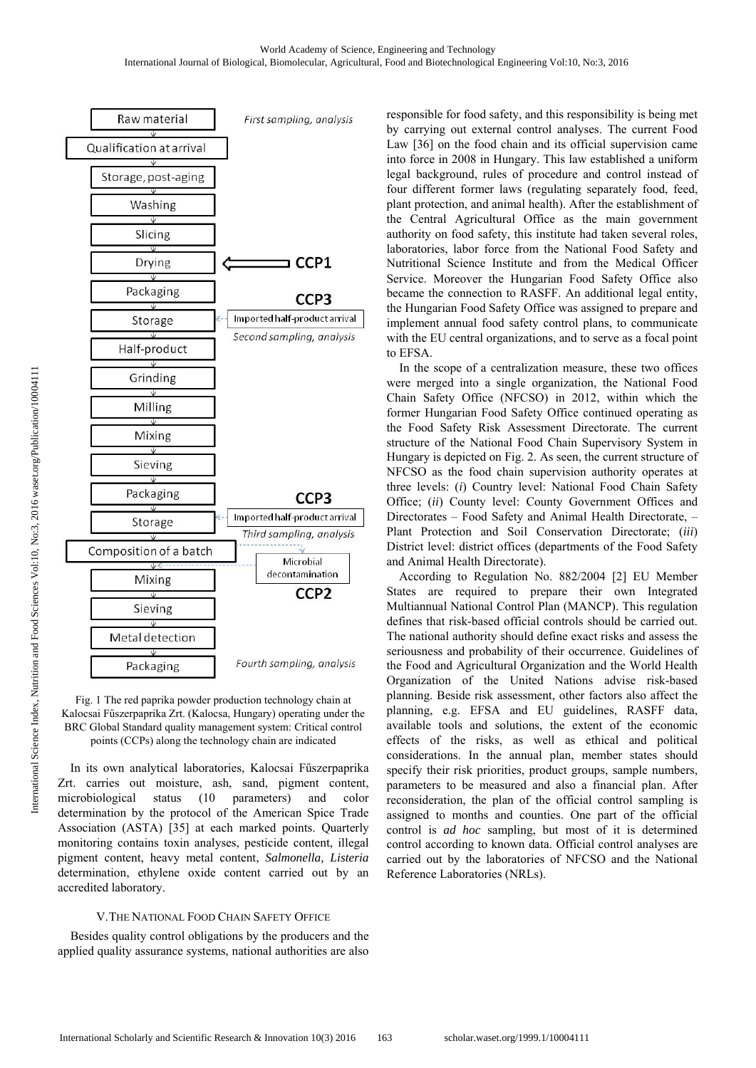

Fig. 1 The red paprika powder production technology chain at Kalocsai Fűszerpaprika Zrt. (Kalocsa, Hungary) operating under the BRC Global Standard quality management system: Critical control points (CCPs) along the technology chain are indicated

In its own analytical laboratories, Kalocsai Fűszerpaprika Zrt. carries out moisture, ash, sand, pigment content, microbiological status (10 parameters) and color determination by the protocol of the American Spice Trade Association (ASTA) [35] at each marked points. Quarterly monitoring contains toxin analyses, pesticide content, illegal pigment content, heavy metal content, *Salmonella, Listeria*  determination, ethylene oxide content carried out by an accredited laboratory.

# V.THE NATIONAL FOOD CHAIN SAFETY OFFICE

Besides quality control obligations by the producers and the applied quality assurance systems, national authorities are also responsible for food safety, and this responsibility is being met by carrying out external control analyses. The current Food Law [36] on the food chain and its official supervision came into force in 2008 in Hungary. This law established a uniform legal background, rules of procedure and control instead of four different former laws (regulating separately food, feed, plant protection, and animal health). After the establishment of the Central Agricultural Office as the main government authority on food safety, this institute had taken several roles, laboratories, labor force from the National Food Safety and Nutritional Science Institute and from the Medical Officer Service. Moreover the Hungarian Food Safety Office also became the connection to RASFF. An additional legal entity, the Hungarian Food Safety Office was assigned to prepare and implement annual food safety control plans, to communicate with the EU central organizations, and to serve as a focal point to EFSA.

In the scope of a centralization measure, these two offices were merged into a single organization, the National Food Chain Safety Office (NFCSO) in 2012, within which the former Hungarian Food Safety Office continued operating as the Food Safety Risk Assessment Directorate. The current structure of the National Food Chain Supervisory System in Hungary is depicted on Fig. 2. As seen, the current structure of NFCSO as the food chain supervision authority operates at three levels: (*i*) Country level: National Food Chain Safety Office; (*ii*) County level: County Government Offices and Directorates – Food Safety and Animal Health Directorate, – Plant Protection and Soil Conservation Directorate; (*iii*) District level: district offices (departments of the Food Safety and Animal Health Directorate).

According to Regulation No. 882/2004 [2] EU Member States are required to prepare their own Integrated Multiannual National Control Plan (MANCP). This regulation defines that risk-based official controls should be carried out. The national authority should define exact risks and assess the seriousness and probability of their occurrence. Guidelines of the Food and Agricultural Organization and the World Health Organization of the United Nations advise risk-based planning. Beside risk assessment, other factors also affect the planning, e.g. EFSA and EU guidelines, RASFF data, available tools and solutions, the extent of the economic effects of the risks, as well as ethical and political considerations. In the annual plan, member states should specify their risk priorities, product groups, sample numbers, parameters to be measured and also a financial plan. After reconsideration, the plan of the official control sampling is assigned to months and counties. One part of the official control is *ad hoc* sampling, but most of it is determined control according to known data. Official control analyses are carried out by the laboratories of NFCSO and the National Reference Laboratories (NRLs).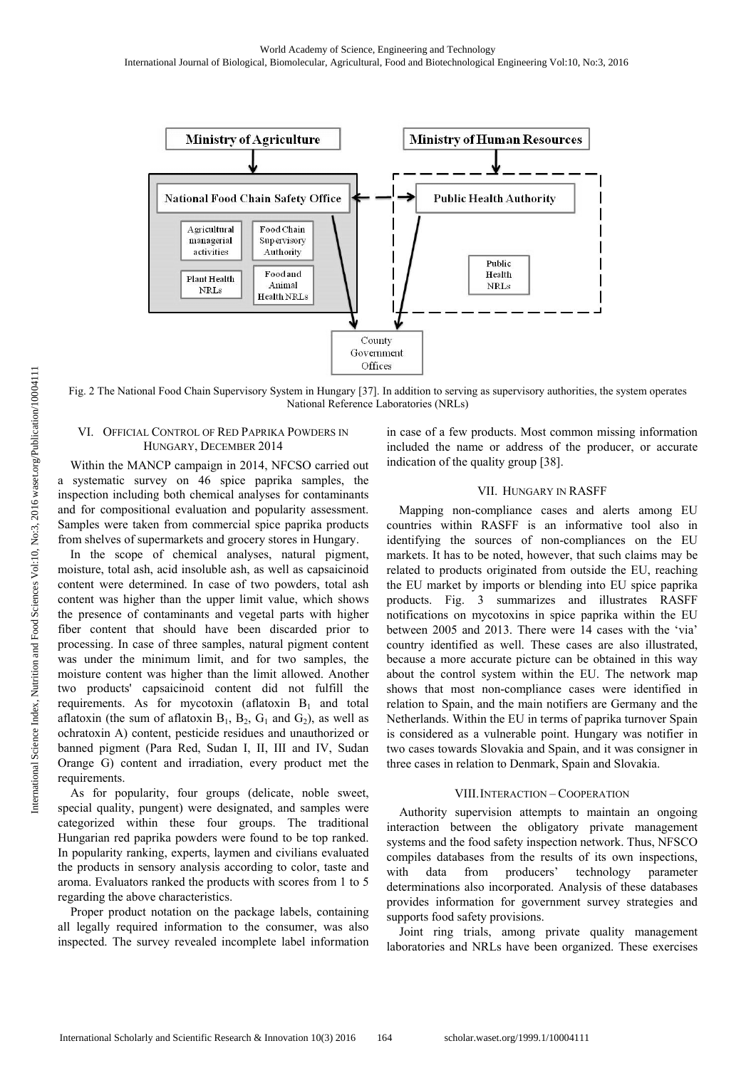

Fig. 2 The National Food Chain Supervisory System in Hungary [37]. In addition to serving as supervisory authorities, the system operates National Reference Laboratories (NRLs)

#### VI. OFFICIAL CONTROL OF RED PAPRIKA POWDERS IN HUNGARY, DECEMBER 2014

Within the MANCP campaign in 2014, NFCSO carried out a systematic survey on 46 spice paprika samples, the inspection including both chemical analyses for contaminants and for compositional evaluation and popularity assessment. Samples were taken from commercial spice paprika products from shelves of supermarkets and grocery stores in Hungary.

In the scope of chemical analyses, natural pigment, moisture, total ash, acid insoluble ash, as well as capsaicinoid content were determined. In case of two powders, total ash content was higher than the upper limit value, which shows the presence of contaminants and vegetal parts with higher fiber content that should have been discarded prior to processing. In case of three samples, natural pigment content was under the minimum limit, and for two samples, the moisture content was higher than the limit allowed. Another two products' capsaicinoid content did not fulfill the requirements. As for mycotoxin (aflatoxin  $B_1$  and total aflatoxin (the sum of aflatoxin  $B_1$ ,  $B_2$ ,  $G_1$  and  $G_2$ ), as well as ochratoxin A) content, pesticide residues and unauthorized or banned pigment (Para Red, Sudan I, II, III and IV, Sudan Orange G) content and irradiation, every product met the requirements.

As for popularity, four groups (delicate, noble sweet, special quality, pungent) were designated, and samples were categorized within these four groups. The traditional Hungarian red paprika powders were found to be top ranked. In popularity ranking, experts, laymen and civilians evaluated the products in sensory analysis according to color, taste and aroma. Evaluators ranked the products with scores from 1 to 5 regarding the above characteristics.

Proper product notation on the package labels, containing all legally required information to the consumer, was also inspected. The survey revealed incomplete label information in case of a few products. Most common missing information included the name or address of the producer, or accurate indication of the quality group [38].

## VII. HUNGARY IN RASFF

Mapping non-compliance cases and alerts among EU countries within RASFF is an informative tool also in identifying the sources of non-compliances on the EU markets. It has to be noted, however, that such claims may be related to products originated from outside the EU, reaching the EU market by imports or blending into EU spice paprika products. Fig. 3 summarizes and illustrates RASFF notifications on mycotoxins in spice paprika within the EU between 2005 and 2013. There were 14 cases with the 'via' country identified as well. These cases are also illustrated, because a more accurate picture can be obtained in this way about the control system within the EU. The network map shows that most non-compliance cases were identified in relation to Spain, and the main notifiers are Germany and the Netherlands. Within the EU in terms of paprika turnover Spain is considered as a vulnerable point. Hungary was notifier in two cases towards Slovakia and Spain, and it was consigner in three cases in relation to Denmark, Spain and Slovakia.

#### VIII.INTERACTION – COOPERATION

Authority supervision attempts to maintain an ongoing interaction between the obligatory private management systems and the food safety inspection network. Thus, NFSCO compiles databases from the results of its own inspections, with data from producers' technology parameter determinations also incorporated. Analysis of these databases provides information for government survey strategies and supports food safety provisions.

Joint ring trials, among private quality management laboratories and NRLs have been organized. These exercises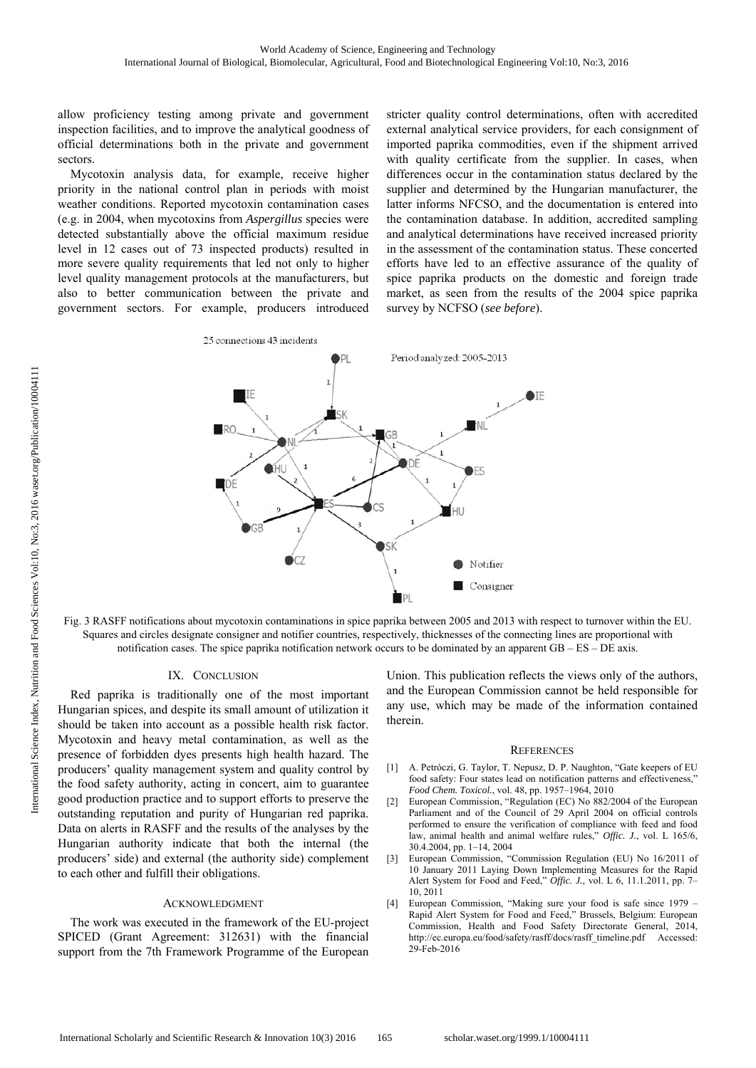allow proficiency testing among private and government inspection facilities, and to improve the analytical goodness of official determinations both in the private and government sectors.

Mycotoxin analysis data, for example, receive higher priority in the national control plan in periods with moist weather conditions. Reported mycotoxin contamination cases (e.g. in 2004, when mycotoxins from *Aspergillus* species were detected substantially above the official maximum residue level in 12 cases out of 73 inspected products) resulted in more severe quality requirements that led not only to higher level quality management protocols at the manufacturers, but also to better communication between the private and government sectors. For example, producers introduced stricter quality control determinations, often with accredited external analytical service providers, for each consignment of imported paprika commodities, even if the shipment arrived with quality certificate from the supplier. In cases, when differences occur in the contamination status declared by the supplier and determined by the Hungarian manufacturer, the latter informs NFCSO, and the documentation is entered into the contamination database. In addition, accredited sampling and analytical determinations have received increased priority in the assessment of the contamination status. These concerted efforts have led to an effective assurance of the quality of spice paprika products on the domestic and foreign trade market, as seen from the results of the 2004 spice paprika survey by NCFSO (*see before*).



Fig. 3 RASFF notifications about mycotoxin contaminations in spice paprika between 2005 and 2013 with respect to turnover within the EU. Squares and circles designate consigner and notifier countries, respectively, thicknesses of the connecting lines are proportional with notification cases. The spice paprika notification network occurs to be dominated by an apparent  $GB - ES - DE$  axis.

### IX. CONCLUSION

Red paprika is traditionally one of the most important Hungarian spices, and despite its small amount of utilization it should be taken into account as a possible health risk factor. Mycotoxin and heavy metal contamination, as well as the presence of forbidden dyes presents high health hazard. The producers' quality management system and quality control by the food safety authority, acting in concert, aim to guarantee good production practice and to support efforts to preserve the outstanding reputation and purity of Hungarian red paprika. Data on alerts in RASFF and the results of the analyses by the Hungarian authority indicate that both the internal (the producers' side) and external (the authority side) complement to each other and fulfill their obligations.

#### ACKNOWLEDGMENT

The work was executed in the framework of the EU-project SPICED (Grant Agreement: 312631) with the financial support from the 7th Framework Programme of the European Union. This publication reflects the views only of the authors, and the European Commission cannot be held responsible for any use, which may be made of the information contained therein.

#### **REFERENCES**

- [1] A. Petróczi, G. Taylor, T. Nepusz, D. P. Naughton, "Gate keepers of EU food safety: Four states lead on notification patterns and effectiveness," *Food Chem. Toxicol.*, vol. 48, pp. 1957–1964, 2010
- [2] European Commission, "Regulation (EC) No 882/2004 of the European Parliament and of the Council of 29 April 2004 on official controls performed to ensure the verification of compliance with feed and food law, animal health and animal welfare rules," *Offic. J.*, vol. L 165/6, 30.4.2004, pp. 1–14, 2004
- [3] European Commission, "Commission Regulation (EU) No 16/2011 of 10 January 2011 Laying Down Implementing Measures for the Rapid Alert System for Food and Feed," *Offic. J.*, vol. L 6, 11.1.2011, pp. 7– 10, 2011
- [4] European Commission, "Making sure your food is safe since 1979 Rapid Alert System for Food and Feed," Brussels, Belgium: European Commission, Health and Food Safety Directorate General, 2014, http://ec.europa.eu/food/safety/rasff/docs/rasff\_timeline.pdf Accessed: 29-Feb-2016